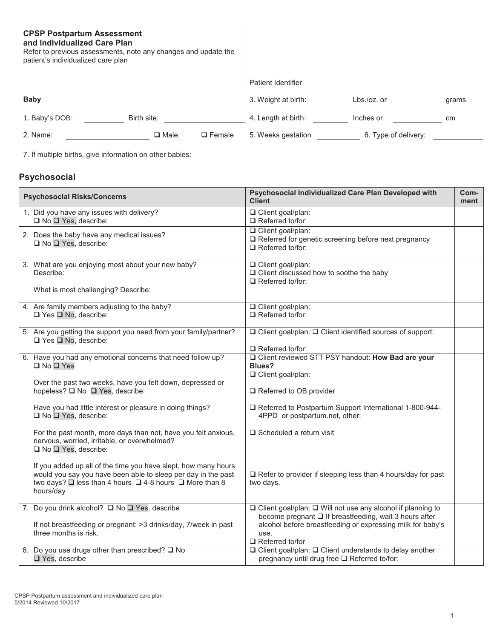# **CPSP Postpartum Assessment**

#### **and Individualized Care Plan**

Refer to previous assessments, note any changes and update the patient's individualized care plan

|                |                |               | Patient Identifier  |                      |       |
|----------------|----------------|---------------|---------------------|----------------------|-------|
| <b>Baby</b>    |                |               | 3. Weight at birth: | $Lbs./oz.$ or        | grams |
| 1. Baby's DOB: | Birth site:    |               | 4. Length at birth: | Inches or            | cm    |
| 2. Name:       | $\square$ Male | $\Box$ Female | 5. Weeks gestation  | 6. Type of delivery: |       |

7. If multiple births, give information on other babies:

## **Psychosocial**

| <b>Psychosocial Risks/Concerns</b>                                                                                                                                                                                     | Psychosocial Individualized Care Plan Developed with<br><b>Client</b>                                                   | Com-<br>ment |
|------------------------------------------------------------------------------------------------------------------------------------------------------------------------------------------------------------------------|-------------------------------------------------------------------------------------------------------------------------|--------------|
| 1. Did you have any issues with delivery?<br>$\Box$ No $\Box$ Yes, describe:                                                                                                                                           | Client goal/plan:<br>$\Box$ Referred to/for:                                                                            |              |
| 2. Does the baby have any medical issues?<br>□ No □ Yes, describe:                                                                                                                                                     | Client goal/plan:<br>Referred for genetic screening before next pregnancy<br>$\Box$ Referred to/for:                    |              |
| 3. What are you enjoying most about your new baby?<br>Describe:                                                                                                                                                        | □ Client goal/plan:<br>□ Client discussed how to soothe the baby<br>$\Box$ Referred to/for:                             |              |
| What is most challenging? Describe:                                                                                                                                                                                    |                                                                                                                         |              |
| 4. Are family members adjusting to the baby?<br>$\Box$ Yes $\Box$ No, describe:                                                                                                                                        | □ Client goal/plan:<br>$\Box$ Referred to/for:                                                                          |              |
| 5. Are you getting the support you need from your family/partner?<br>$\Box$ Yes $\Box$ No, describe:                                                                                                                   | □ Client goal/plan: □ Client identified sources of support:<br>$\Box$ Referred to/for:                                  |              |
| 6. Have you had any emotional concerns that need follow up?<br>□ No □ Yes                                                                                                                                              | O Client reviewed STT PSY handout: How Bad are your<br><b>Blues?</b><br>□ Client goal/plan:                             |              |
| Over the past two weeks, have you felt down, depressed or<br>hopeless? □ No □ Yes, describe:                                                                                                                           | $\Box$ Referred to OB provider                                                                                          |              |
| Have you had little interest or pleasure in doing things?<br>□ No □ Yes, describe:                                                                                                                                     | □ Referred to Postpartum Support International 1-800-944-<br>4PPD or postpartum.net, other:                             |              |
| For the past month, more days than not, have you felt anxious,<br>nervous, worried, irritable, or overwhelmed?<br>□ No □ Yes, describe:                                                                                | $\square$ Scheduled a return visit                                                                                      |              |
| If you added up all of the time you have slept, how many hours<br>would you say you have been able to sleep per day in the past<br>two days? $\Box$ less than 4 hours $\Box$ 4-8 hours $\Box$ More than 8<br>hours/day | $\Box$ Refer to provider if sleeping less than 4 hours/day for past<br>two days.                                        |              |
| 7. Do you drink alcohol? □ No □ Yes, describe                                                                                                                                                                          | □ Client goal/plan: □ Will not use any alcohol if planning to<br>become pregnant □ If breastfeeding, wait 3 hours after |              |
| If not breastfeeding or pregnant: >3 drinks/day, 7/week in past<br>three months is risk.                                                                                                                               | alcohol before breastfeeding or expressing milk for baby's<br>use.<br>$\Box$ Referred to/for                            |              |
| Do you use drugs other than prescribed? □ No<br>8.<br>Yes, describe                                                                                                                                                    | □ Client goal/plan: □ Client understands to delay another<br>pregnancy until drug free □ Referred to/for:               |              |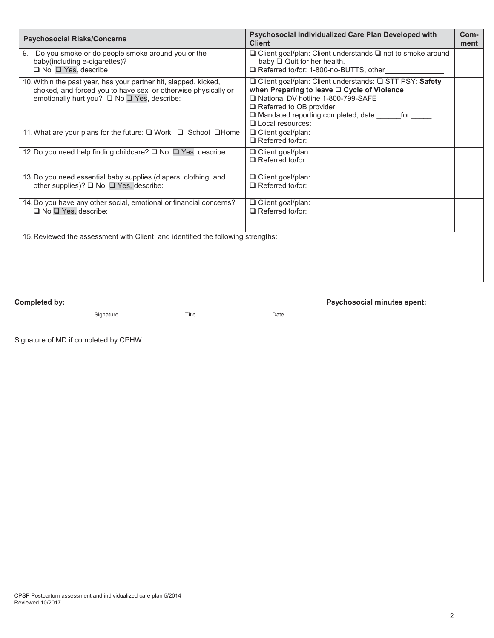| <b>Psychosocial Risks/Concerns</b>                                                                                                                                                | Psychosocial Individualized Care Plan Developed with<br><b>Client</b>                                                                                                                                                                                        | Com-<br>ment |
|-----------------------------------------------------------------------------------------------------------------------------------------------------------------------------------|--------------------------------------------------------------------------------------------------------------------------------------------------------------------------------------------------------------------------------------------------------------|--------------|
| Do you smoke or do people smoke around you or the<br>9.<br>baby(including e-cigarettes)?<br>$\Box$ No $\Box$ Yes, describe                                                        | $\Box$ Client goal/plan: Client understands $\Box$ not to smoke around<br>baby $\Box$ Quit for her health.<br>Referred to/for: 1-800-no-BUTTS, other                                                                                                         |              |
| 10. Within the past year, has your partner hit, slapped, kicked,<br>choked, and forced you to have sex, or otherwise physically or<br>emotionally hurt you? □ No □ Yes, describe: | □ Client goal/plan: Client understands: □ STT PSY: Safety<br>when Preparing to leave □ Cycle of Violence<br>National DV hotline 1-800-799-SAFE<br>$\Box$ Referred to OB provider<br>$\Box$ Mandated reporting completed, date:<br>for:<br>□ Local resources: |              |
| 11. What are your plans for the future: □ Work □ School □ Home                                                                                                                    | $\Box$ Client goal/plan:<br>$\Box$ Referred to/for:                                                                                                                                                                                                          |              |
| 12. Do you need help finding childcare? □ No □ Yes, describe:                                                                                                                     | □ Client goal/plan:<br>$\Box$ Referred to/for:                                                                                                                                                                                                               |              |
| 13. Do you need essential baby supplies (diapers, clothing, and<br>other supplies)? ■ No ■ Yes, describe:                                                                         | □ Client goal/plan:<br>$\Box$ Referred to/for:                                                                                                                                                                                                               |              |
| 14. Do you have any other social, emotional or financial concerns?<br>$\Box$ No $\Box$ Yes, describe:                                                                             | $\Box$ Client goal/plan:<br>$\Box$ Referred to/for:                                                                                                                                                                                                          |              |
| 15. Reviewed the assessment with Client and identified the following strengths:                                                                                                   |                                                                                                                                                                                                                                                              |              |

Signature Title Title Date

**Completed by: Psychosocial minutes spent:**

Signature of MD if completed by CPHW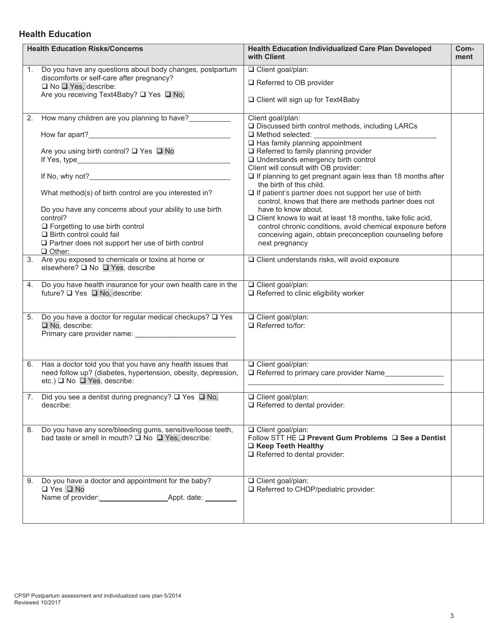### **Health Education**

|                | <b>Health Education Risks/Concerns</b>                                                                                                                                                                                                                                                                                                                                      | <b>Health Education Individualized Care Plan Developed</b><br>with Client                                                                                                                                                                                                                                                                                                                                                                                                                                                                                                                                                                                                                                                               | Com-<br>ment |
|----------------|-----------------------------------------------------------------------------------------------------------------------------------------------------------------------------------------------------------------------------------------------------------------------------------------------------------------------------------------------------------------------------|-----------------------------------------------------------------------------------------------------------------------------------------------------------------------------------------------------------------------------------------------------------------------------------------------------------------------------------------------------------------------------------------------------------------------------------------------------------------------------------------------------------------------------------------------------------------------------------------------------------------------------------------------------------------------------------------------------------------------------------------|--------------|
|                | 1. Do you have any questions about body changes, postpartum<br>discomforts or self-care after pregnancy?<br>□ No □ Yes, describe:<br>Are you receiving Text4Baby? □ Yes □ No,                                                                                                                                                                                               | □ Client goal/plan:<br>□ Referred to OB provider<br>□ Client will sign up for Text4Baby                                                                                                                                                                                                                                                                                                                                                                                                                                                                                                                                                                                                                                                 |              |
|                | 2. How many children are you planning to have?<br>Are you using birth control? □ Yes □ No<br>What method(s) of birth control are you interested in?<br>Do you have any concerns about your ability to use birth<br>control?<br>□ Forgetting to use birth control<br>$\Box$ Birth control could fail<br>□ Partner does not support her use of birth control<br>$\Box$ Other: | Client goal/plan:<br>□ Discussed birth control methods, including LARCs<br>$\Box$ Method selected:<br>□ Has family planning appointment<br>□ Referred to family planning provider<br>□ Understands emergency birth control<br>Client will consult with OB provider:<br>$\Box$ If planning to get pregnant again less than 18 months after<br>the birth of this child.<br>$\Box$ If patient's partner does not support her use of birth<br>control, knows that there are methods partner does not<br>have to know about.<br>$\Box$ Client knows to wait at least 18 months, take folic acid,<br>control chronic conditions, avoid chemical exposure before<br>conceiving again, obtain preconception counseling before<br>next pregnancy |              |
|                | 3. Are you exposed to chemicals or toxins at home or<br>elsewhere? □ No □ Yes, describe                                                                                                                                                                                                                                                                                     | □ Client understands risks, will avoid exposure                                                                                                                                                                                                                                                                                                                                                                                                                                                                                                                                                                                                                                                                                         |              |
| 4.             | Do you have health insurance for your own health care in the<br>future? □ Yes □ No, describe:                                                                                                                                                                                                                                                                               | □ Client goal/plan:<br>$\Box$ Referred to clinic eligibility worker                                                                                                                                                                                                                                                                                                                                                                                                                                                                                                                                                                                                                                                                     |              |
| 5 <sub>1</sub> | Do you have a doctor for regular medical checkups? $\square$ Yes<br>No, describe:                                                                                                                                                                                                                                                                                           | Client goal/plan:<br>$\Box$ Referred to/for:                                                                                                                                                                                                                                                                                                                                                                                                                                                                                                                                                                                                                                                                                            |              |
| 6.             | Has a doctor told you that you have any health issues that<br>need follow up? (diabetes, hypertension, obesity, depression,<br>etc.) <sup>□</sup> No □ Yes, describe:                                                                                                                                                                                                       | □ Client goal/plan:<br>$\Box$ Referred to primary care provider Name                                                                                                                                                                                                                                                                                                                                                                                                                                                                                                                                                                                                                                                                    |              |
|                | 7. Did you see a dentist during pregnancy? Q Yes Q No,<br>describe:                                                                                                                                                                                                                                                                                                         | Client goal/plan:<br>Referred to dental provider:                                                                                                                                                                                                                                                                                                                                                                                                                                                                                                                                                                                                                                                                                       |              |
| 8.             | Do you have any sore/bleeding gums, sensitive/loose teeth,<br>bad taste or smell in mouth? ■ No ■ Yes, describe:                                                                                                                                                                                                                                                            | $\overline{\square}$ Client goal/plan:<br>Follow STT HE □ Prevent Gum Problems □ See a Dentist<br>□ Keep Teeth Healthy<br>Referred to dental provider:                                                                                                                                                                                                                                                                                                                                                                                                                                                                                                                                                                                  |              |
|                | 9. Do you have a doctor and appointment for the baby?<br>□ Yes □ No<br>Name of provider: Appt. date:                                                                                                                                                                                                                                                                        | □ Client goal/plan:<br>Referred to CHDP/pediatric provider:                                                                                                                                                                                                                                                                                                                                                                                                                                                                                                                                                                                                                                                                             |              |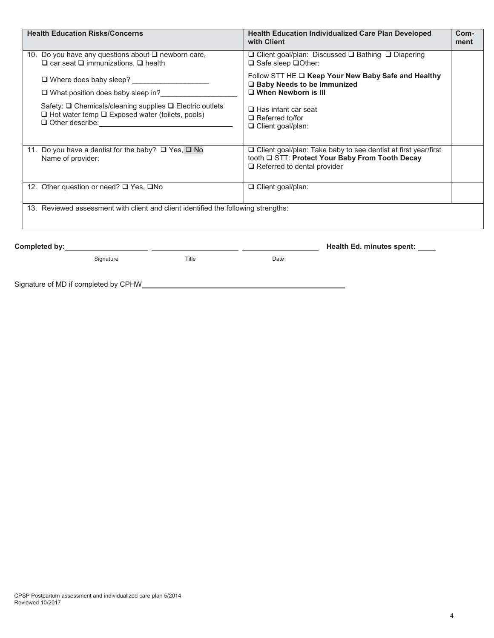| <b>Health Education Risks/Concerns</b>                                                                                  | <b>Health Education Individualized Care Plan Developed</b><br>with Client                                                | Com-<br>ment |
|-------------------------------------------------------------------------------------------------------------------------|--------------------------------------------------------------------------------------------------------------------------|--------------|
| 10. Do you have any questions about □ newborn care,<br>$\Box$ car seat $\Box$ immunizations, $\Box$ health              | □ Client goal/plan: Discussed □ Bathing □ Diapering<br>$\Box$ Safe sleep $\Box$ Other:                                   |              |
| $\Box$ Where does baby sleep?                                                                                           | Follow STT HE Q Keep Your New Baby Safe and Healthy<br>□ Baby Needs to be Immunized                                      |              |
| □ What position does baby sleep in?<br>□                                                                                | $\Box$ When Newborn is III                                                                                               |              |
| Safety: □ Chemicals/cleaning supplies □ Electric outlets<br>$\Box$ Hot water temp $\Box$ Exposed water (toilets, pools) | $\Box$ Has infant car seat<br>$\Box$ Referred to/for<br>□ Client goal/plan:                                              |              |
| 11. Do you have a dentist for the baby? □ Yes, □ No<br>Name of provider:                                                | $\Box$ Client goal/plan: Take baby to see dentist at first year/first<br>tooth Q STT: Protect Your Baby From Tooth Decay |              |
|                                                                                                                         | $\Box$ Referred to dental provider                                                                                       |              |
| 12. Other question or need? □ Yes, □No                                                                                  | □ Client goal/plan:                                                                                                      |              |
| 13. Reviewed assessment with client and client identified the following strengths:                                      |                                                                                                                          |              |
|                                                                                                                         | Health Ed. minutes spent: _____                                                                                          |              |
| Signature<br>Title                                                                                                      | Date                                                                                                                     |              |

Signature of MD if completed by CPHW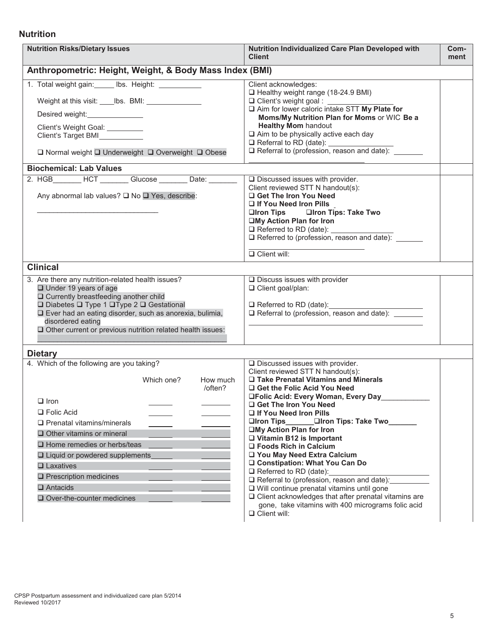#### **Nutrition**

| <b>Nutrition Risks/Dietary Issues</b>                                                                                                                                                                                                                                                                                                                                                    | Nutrition Individualized Care Plan Developed with<br><b>Client</b>                                                                                                                                                                                                                                                                                                                                                                                                                                                                                                                                                                                                                                                                        | Com-<br>ment |
|------------------------------------------------------------------------------------------------------------------------------------------------------------------------------------------------------------------------------------------------------------------------------------------------------------------------------------------------------------------------------------------|-------------------------------------------------------------------------------------------------------------------------------------------------------------------------------------------------------------------------------------------------------------------------------------------------------------------------------------------------------------------------------------------------------------------------------------------------------------------------------------------------------------------------------------------------------------------------------------------------------------------------------------------------------------------------------------------------------------------------------------------|--------------|
| Anthropometric: Height, Weight, & Body Mass Index (BMI)                                                                                                                                                                                                                                                                                                                                  |                                                                                                                                                                                                                                                                                                                                                                                                                                                                                                                                                                                                                                                                                                                                           |              |
| 1. Total weight gain: _____ lbs. Height: __________<br>Weight at this visit: ____ lbs. BMI: _______________<br>Client's Weight Goal: _________<br>Client's Target BMI<br>□ Normal weight □ Underweight □ Overweight □ Obese                                                                                                                                                              | Client acknowledges:<br>Healthy weight range (18-24.9 BMI)<br>$\Box$ Client's weight goal :<br>Aim for lower caloric intake STT My Plate for<br>Moms/My Nutrition Plan for Moms or WIC Be a<br><b>Healthy Mom handout</b><br>$\Box$ Aim to be physically active each day<br>Referral to RD (date): _______________<br>$\Box$ Referral to (profession, reason and date):                                                                                                                                                                                                                                                                                                                                                                   |              |
| <b>Biochemical: Lab Values</b>                                                                                                                                                                                                                                                                                                                                                           |                                                                                                                                                                                                                                                                                                                                                                                                                                                                                                                                                                                                                                                                                                                                           |              |
| 2. HGB ________ HCT ________ Glucose ________ Date: ________<br>Any abnormal lab values? □ No □ Yes, describe:                                                                                                                                                                                                                                                                           | $\square$ Discussed issues with provider.<br>Client reviewed STT N handout(s):<br>Get The Iron You Need<br>□ If You Need Iron Pills<br>□Iron Tips □Iron Tips: Take Two<br>□My Action Plan for Iron<br>$\Box$ Referred to RD (date):<br>$\Box$ Referred to (profession, reason and date):<br>$\Box$ Client will:                                                                                                                                                                                                                                                                                                                                                                                                                           |              |
| <b>Clinical</b>                                                                                                                                                                                                                                                                                                                                                                          |                                                                                                                                                                                                                                                                                                                                                                                                                                                                                                                                                                                                                                                                                                                                           |              |
| 3. Are there any nutrition-related health issues?<br>$\Box$ Under 19 years of age<br>□ Currently breastfeeding another child<br>□ Diabetes □ Type 1 □ Type 2 □ Gestational<br>□ Ever had an eating disorder, such as anorexia, bulimia,<br>disordered eating<br>Other current or previous nutrition related health issues:                                                               | $\Box$ Discuss issues with provider<br>□ Client goal/plan:<br>□ Referred to RD (date): <u>■ Neferred</u> to RD (date):<br>□ Referral to (profession, reason and date): _____                                                                                                                                                                                                                                                                                                                                                                                                                                                                                                                                                              |              |
| <b>Dietary</b>                                                                                                                                                                                                                                                                                                                                                                           |                                                                                                                                                                                                                                                                                                                                                                                                                                                                                                                                                                                                                                                                                                                                           |              |
| 4. Which of the following are you taking?<br>Which one?<br>How much<br>/often?<br>$\Box$ Iron<br>$\Box$ Folic Acid<br>$\Box$ Prenatal vitamins/minerals<br>$\Box$ Other vitamins or mineral<br>$\Box$ Home remedies or herbs/teas<br>□ Liquid or powdered supplements<br>$\Box$ Laxatives<br>$\square$ Prescription medicines<br>$\Box$ Antacids<br>$\square$ Over-the-counter medicines | $\square$ Discussed issues with provider.<br>Client reviewed STT N handout(s):<br>□ Take Prenatal Vitamins and Minerals<br>□ Get the Folic Acid You Need<br>□Folic Acid: Every Woman, Every Day<br>Get The Iron You Need<br>□ If You Need Iron Pills<br>□Iron Tips<br><b>□Iron Tips: Take Two</b><br>□My Action Plan for Iron<br>$\Box$ Vitamin B12 is Important<br>□ Foods Rich in Calcium<br>□ You May Need Extra Calcium<br>□ Constipation: What You Can Do<br>Referred to RD (date):<br>$\Box$ Referral to (profession, reason and date).<br>□ Will continue prenatal vitamins until gone<br>$\Box$ Client acknowledges that after prenatal vitamins are<br>gone, take vitamins with 400 micrograms folic acid<br>$\Box$ Client will: |              |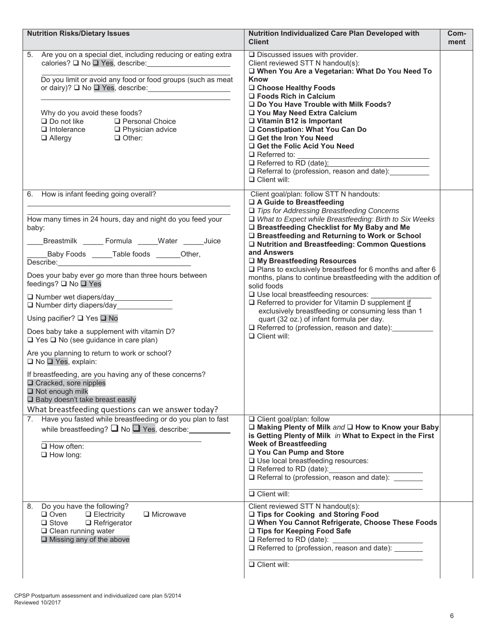| <b>Nutrition Risks/Dietary Issues</b>                                                                                                                                                                                                                                                                                                                                                                                                                                                                                                                                                                                                                                                                                                                                                                                                         | <b>Nutrition Individualized Care Plan Developed with</b><br><b>Client</b>                                                                                                                                                                                                                                                                                                                                                                                                                                                                                                                                                                                                                                                                                                                                                            | Com-<br>ment |
|-----------------------------------------------------------------------------------------------------------------------------------------------------------------------------------------------------------------------------------------------------------------------------------------------------------------------------------------------------------------------------------------------------------------------------------------------------------------------------------------------------------------------------------------------------------------------------------------------------------------------------------------------------------------------------------------------------------------------------------------------------------------------------------------------------------------------------------------------|--------------------------------------------------------------------------------------------------------------------------------------------------------------------------------------------------------------------------------------------------------------------------------------------------------------------------------------------------------------------------------------------------------------------------------------------------------------------------------------------------------------------------------------------------------------------------------------------------------------------------------------------------------------------------------------------------------------------------------------------------------------------------------------------------------------------------------------|--------------|
| 5. Are you on a special diet, including reducing or eating extra<br>calories? □ No □ Yes, describe: <u>[11]</u><br>Do you limit or avoid any food or food groups (such as meat<br>or dairy)? □ No □ Yes, describe: <u>contract</u><br>Why do you avoid these foods?<br><b>Q</b> Personal Choice<br>$\Box$ Do not like<br>$\Box$ Intolerance $\Box$ Physician advice<br>Other:<br>$\Box$ Allergy                                                                                                                                                                                                                                                                                                                                                                                                                                               | $\square$ Discussed issues with provider.<br>Client reviewed STT N handout(s):<br>□ When You Are a Vegetarian: What Do You Need To<br><b>Know</b><br>□ Choose Healthy Foods<br>$\Box$ Foods Rich in Calcium<br>□ Do You Have Trouble with Milk Foods?<br>□ You May Need Extra Calcium<br>$\Box$ Vitamin B12 is Important<br>□ Constipation: What You Can Do<br>□ Get the Iron You Need<br>□ Get the Folic Acid You Need<br>$\Box$ Referred to:<br>$\Box$ Referred to RD (date):<br>Referral to (profession, reason and date):<br>$\Box$ Client will:                                                                                                                                                                                                                                                                                 |              |
| 6. How is infant feeding going overall?<br>How many times in 24 hours, day and night do you feed your<br>baby:<br>Breastmilk ______ Formula _____Water ______Juice<br>Baby Foods ______Table foods _______Other,<br>Describe: <b>Example</b><br>Does your baby ever go more than three hours between<br>feedings? □ No □ Yes<br>Number wet diapers/day _______________<br>$\Box$ Number dirty diapers/day<br>Using pacifier? $\square$ Yes $\square$ No<br>Does baby take a supplement with vitamin D?<br>$\Box$ Yes $\Box$ No (see guidance in care plan)<br>Are you planning to return to work or school?<br>□ No □ Yes, explain:<br>If breastfeeding, are you having any of these concerns?<br>□ Cracked, sore nipples<br>$\Box$ Not enough milk<br>□ Baby doesn't take breast easily<br>What breastfeeding questions can we answer today? | Client goal/plan: follow STT N handouts:<br>□ A Guide to Breastfeeding<br>$\Box$ Tips for Addressing Breastfeeding Concerns<br>$\Box$ What to Expect while Breastfeeding: Birth to Six Weeks<br>□ Breastfeeding Checklist for My Baby and Me<br>□ Breastfeeding and Returning to Work or School<br>□ Nutrition and Breastfeeding: Common Questions<br>and Answers<br>□ My Breastfeeding Resources<br>$\square$ Plans to exclusively breastfeed for 6 months and after 6<br>months, plans to continue breastfeeding with the addition of<br>solid foods<br>$\square$ Use local breastfeeding resources:<br>Referred to provider for Vitamin D supplement if<br>exclusively breastfeeding or consuming less than 1<br>quart (32 oz.) of infant formula per day.<br>□ Referred to (profession, reason and date):<br>$\Box$ Client will: |              |
| Have you fasted while breastfeeding or do you plan to fast<br>7.<br>while breastfeeding? $\square$ No $\square$ Yes, describe:<br>$\Box$ How often:<br>$\Box$ How long:                                                                                                                                                                                                                                                                                                                                                                                                                                                                                                                                                                                                                                                                       | □ Client goal/plan: follow<br>□ Making Plenty of Milk and □ How to Know your Baby<br>is Getting Plenty of Milk in What to Expect in the First<br><b>Week of Breastfeeding</b><br>□ You Can Pump and Store<br>□ Use local breastfeeding resources:<br>$\Box$ Referred to RD (date):<br>Referral to (profession, reason and date):<br>$\Box$ Client will:                                                                                                                                                                                                                                                                                                                                                                                                                                                                              |              |
| Do you have the following?<br>8.<br>$\Box$ Oven<br>$\Box$ Microwave<br>$\Box$ Electricity<br>$\Box$ Stove<br>$\square$ Refrigerator<br>$\Box$ Clean running water<br>$\Box$ Missing any of the above                                                                                                                                                                                                                                                                                                                                                                                                                                                                                                                                                                                                                                          | Client reviewed STT N handout(s):<br>□ Tips for Cooking and Storing Food<br>□ When You Cannot Refrigerate, Choose These Foods<br>□ Tips for Keeping Food Safe<br>$\Box$ Referred to RD (date):<br>□ Referred to (profession, reason and date): _____<br>$\Box$ Client will:                                                                                                                                                                                                                                                                                                                                                                                                                                                                                                                                                          |              |